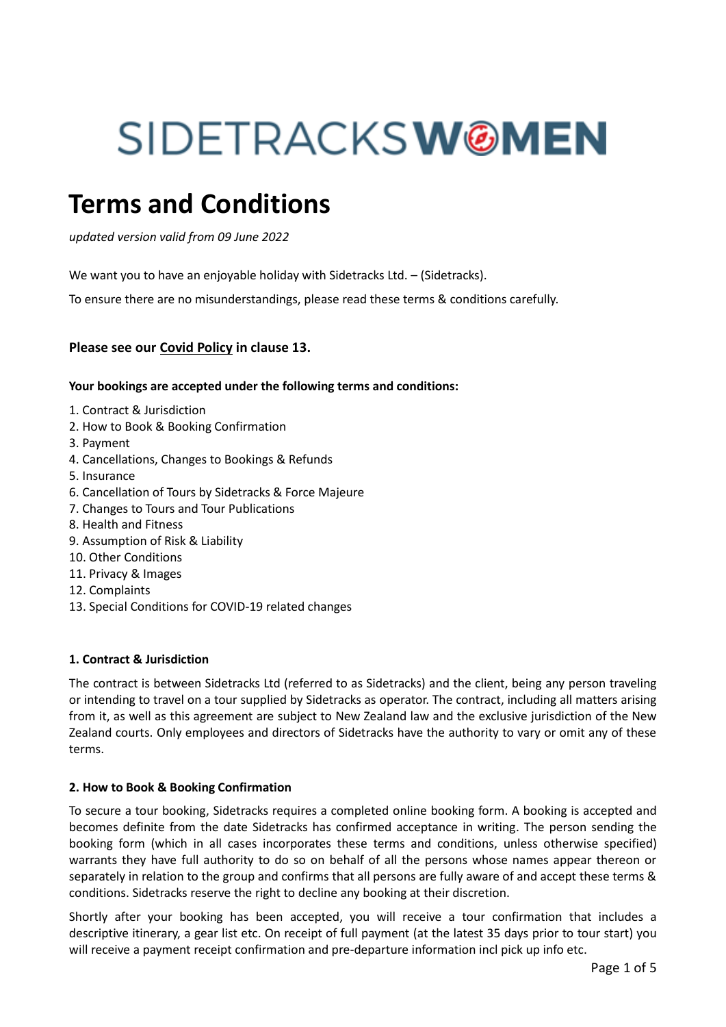# SIDETRACKSW**@MEN**

# **Terms and Conditions**

*updated version valid from 09 June 2022*

We want you to have an enjoyable holiday with Sidetracks Ltd. - (Sidetracks).

To ensure there are no misunderstandings, please read these terms & conditions carefully.

# **Please see our Covid Policy in clause 13.**

# **Your bookings are accepted under the following terms and conditions:**

- 1. Contract & Jurisdiction
- 2. How to Book & Booking Confirmation
- 3. Payment
- 4. Cancellations, Changes to Bookings & Refunds
- 5. Insurance
- 6. Cancellation of Tours by Sidetracks & Force Majeure
- 7. Changes to Tours and Tour Publications
- 8. Health and Fitness
- 9. Assumption of Risk & Liability
- 10. Other Conditions
- 11. Privacy & Images
- 12. Complaints
- 13. Special Conditions for COVID-19 related changes

# **1. Contract & Jurisdiction**

The contract is between Sidetracks Ltd (referred to as Sidetracks) and the client, being any person traveling or intending to travel on a tour supplied by Sidetracks as operator. The contract, including all matters arising from it, as well as this agreement are subject to New Zealand law and the exclusive jurisdiction of the New Zealand courts. Only employees and directors of Sidetracks have the authority to vary or omit any of these terms.

#### **2. How to Book & Booking Confirmation**

To secure a tour booking, Sidetracks requires a completed online booking form. A booking is accepted and becomes definite from the date Sidetracks has confirmed acceptance in writing. The person sending the booking form (which in all cases incorporates these terms and conditions, unless otherwise specified) warrants they have full authority to do so on behalf of all the persons whose names appear thereon or separately in relation to the group and confirms that all persons are fully aware of and accept these terms & conditions. Sidetracks reserve the right to decline any booking at their discretion.

Shortly after your booking has been accepted, you will receive a tour confirmation that includes a descriptive itinerary, a gear list etc. On receipt of full payment (at the latest 35 days prior to tour start) you will receive a payment receipt confirmation and pre-departure information incl pick up info etc.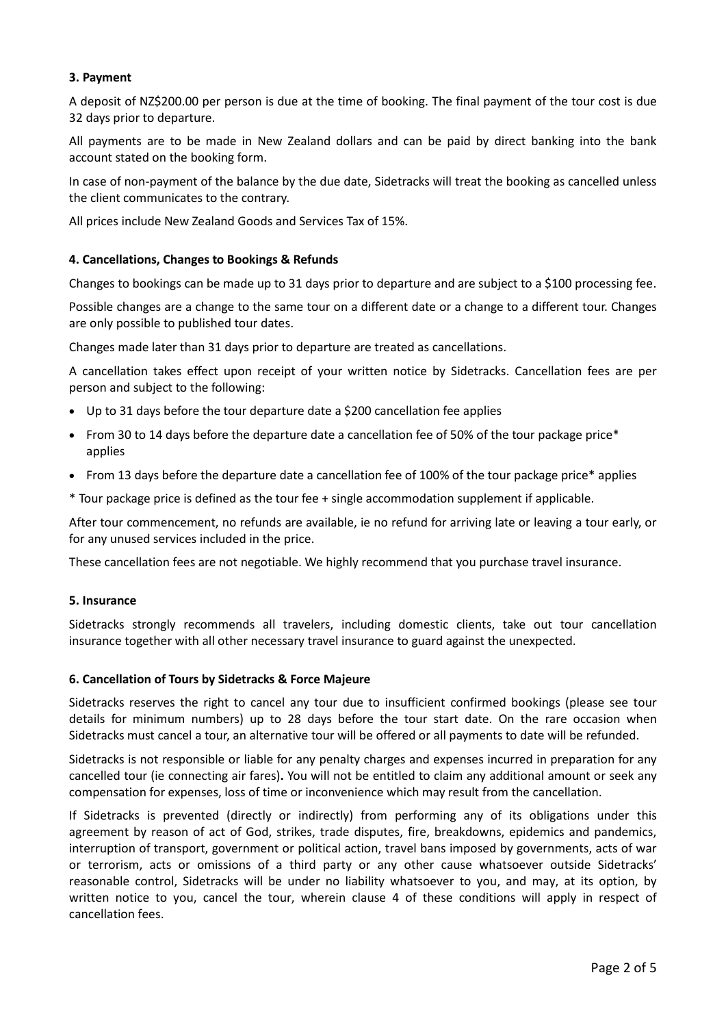# **3. Payment**

A deposit of NZ\$200.00 per person is due at the time of booking. The final payment of the tour cost is due 32 days prior to departure.

All payments are to be made in New Zealand dollars and can be paid by direct banking into the bank account stated on the booking form.

In case of non-payment of the balance by the due date, Sidetracks will treat the booking as cancelled unless the client communicates to the contrary.

All prices include New Zealand Goods and Services Tax of 15%.

# **4. Cancellations, Changes to Bookings & Refunds**

Changes to bookings can be made up to 31 days prior to departure and are subject to a \$100 processing fee.

Possible changes are a change to the same tour on a different date or a change to a different tour. Changes are only possible to published tour dates.

Changes made later than 31 days prior to departure are treated as cancellations.

A cancellation takes effect upon receipt of your written notice by Sidetracks. Cancellation fees are per person and subject to the following:

- Up to 31 days before the tour departure date a \$200 cancellation fee applies
- From 30 to 14 days before the departure date a cancellation fee of 50% of the tour package price\* applies
- From 13 days before the departure date a cancellation fee of 100% of the tour package price\* applies
- \* Tour package price is defined as the tour fee + single accommodation supplement if applicable.

After tour commencement, no refunds are available, ie no refund for arriving late or leaving a tour early, or for any unused services included in the price.

These cancellation fees are not negotiable. We highly recommend that you purchase travel insurance.

#### **5. Insurance**

Sidetracks strongly recommends all travelers, including domestic clients, take out tour cancellation insurance together with all other necessary travel insurance to guard against the unexpected.

#### **6. Cancellation of Tours by Sidetracks & Force Majeure**

Sidetracks reserves the right to cancel any tour due to insufficient confirmed bookings (please see tour details for minimum numbers) up to 28 days before the tour start date. On the rare occasion when Sidetracks must cancel a tour, an alternative tour will be offered or all payments to date will be refunded.

Sidetracks is not responsible or liable for any penalty charges and expenses incurred in preparation for any cancelled tour (ie connecting air fares)**.** You will not be entitled to claim any additional amount or seek any compensation for expenses, loss of time or inconvenience which may result from the cancellation.

If Sidetracks is prevented (directly or indirectly) from performing any of its obligations under this agreement by reason of act of God, strikes, trade disputes, fire, breakdowns, epidemics and pandemics, interruption of transport, government or political action, travel bans imposed by governments, acts of war or terrorism, acts or omissions of a third party or any other cause whatsoever outside Sidetracks' reasonable control, Sidetracks will be under no liability whatsoever to you, and may, at its option, by written notice to you, cancel the tour, wherein clause 4 of these conditions will apply in respect of cancellation fees.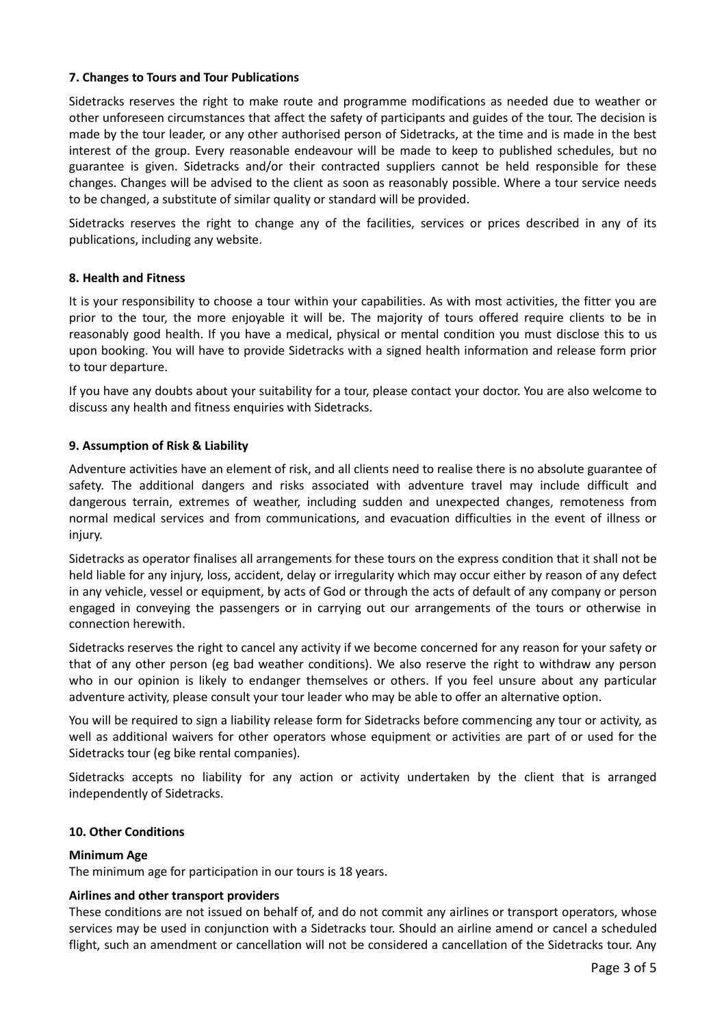# **7. Changes to Tours and Tour Publications**

Sidetracks reserves the right to make route and programme modifications as needed due to weather or other unforeseen circumstances that affect the safety of participants and guides of the tour. The decision is made by the tour leader, or any other authorised person of Sidetracks, at the time and is made in the best interest of the group. Every reasonable endeavour will be made to keep to published schedules, but no guarantee is given. Sidetracks and/or their contracted suppliers cannot be held responsible for these changes. Changes will be advised to the client as soon as reasonably possible. Where a tour service needs to be changed, a substitute of similar quality or standard will be provided.

Sidetracks reserves the right to change any of the facilities, services or prices described in any of its publications, including any website.

# **8. Health and Fitness**

It is your responsibility to choose a tour within your capabilities. As with most activities, the fitter you are prior to the tour, the more enjoyable it will be. The majority of tours offered require clients to be in reasonably good health. If you have a medical, physical or mental condition you must disclose this to us upon booking. You will have to provide Sidetracks with a signed health information and release form prior to tour departure.

If you have any doubts about your suitability for a tour, please contact your doctor. You are also welcome to discuss any health and fitness enquiries with Sidetracks.

# **9. Assumption of Risk & Liability**

Adventure activities have an element of risk, and all clients need to realise there is no absolute guarantee of safety. The additional dangers and risks associated with adventure travel may include difficult and dangerous terrain, extremes of weather, including sudden and unexpected changes, remoteness from normal medical services and from communications, and evacuation difficulties in the event of illness or injury.

Sidetracks as operator finalises all arrangements for these tours on the express condition that it shall not be held liable for any injury, loss, accident, delay or irregularity which may occur either by reason of any defect in any vehicle, vessel or equipment, by acts of God or through the acts of default of any company or person engaged in conveying the passengers or in carrying out our arrangements of the tours or otherwise in connection herewith.

Sidetracks reserves the right to cancel any activity if we become concerned for any reason for your safety or that of any other person (eg bad weather conditions). We also reserve the right to withdraw any person who in our opinion is likely to endanger themselves or others. If you feel unsure about any particular adventure activity, please consult your tour leader who may be able to offer an alternative option.

You will be required to sign a liability release form for Sidetracks before commencing any tour or activity, as well as additional waivers for other operators whose equipment or activities are part of or used for the Sidetracks tour (eg bike rental companies).

Sidetracks accepts no liability for any action or activity undertaken by the client that is arranged independently of Sidetracks.

# **10. Other Conditions**

# **Minimum Age**

The minimum age for participation in our tours is 18 years.

# **Airlines and other transport providers**

These conditions are not issued on behalf of, and do not commit any airlines or transport operators, whose services may be used in conjunction with a Sidetracks tour. Should an airline amend or cancel a scheduled flight, such an amendment or cancellation will not be considered a cancellation of the Sidetracks tour. Any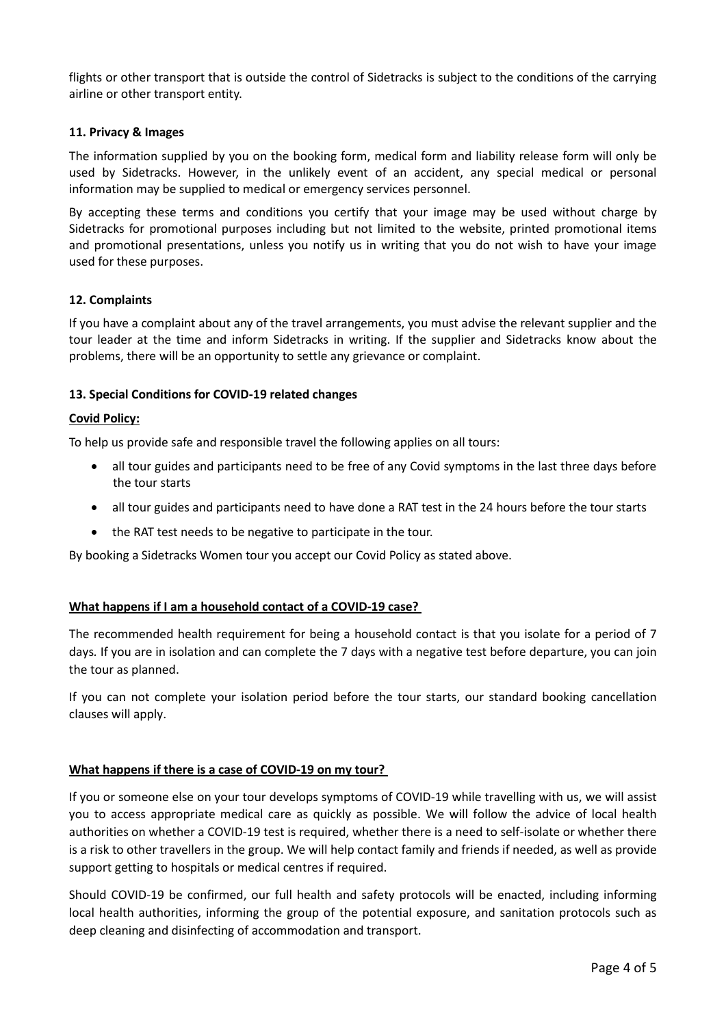flights or other transport that is outside the control of Sidetracks is subject to the conditions of the carrying airline or other transport entity.

# **11. Privacy & Images**

The information supplied by you on the booking form, medical form and liability release form will only be used by Sidetracks. However, in the unlikely event of an accident, any special medical or personal information may be supplied to medical or emergency services personnel.

By accepting these terms and conditions you certify that your image may be used without charge by Sidetracks for promotional purposes including but not limited to the website, printed promotional items and promotional presentations, unless you notify us in writing that you do not wish to have your image used for these purposes.

# **12. Complaints**

If you have a complaint about any of the travel arrangements, you must advise the relevant supplier and the tour leader at the time and inform Sidetracks in writing. If the supplier and Sidetracks know about the problems, there will be an opportunity to settle any grievance or complaint.

# **13. Special Conditions for COVID-19 related changes**

# **Covid Policy:**

To help us provide safe and responsible travel the following applies on all tours:

- all tour guides and participants need to be free of any Covid symptoms in the last three days before the tour starts
- all tour guides and participants need to have done a RAT test in the 24 hours before the tour starts
- the RAT test needs to be negative to participate in the tour.

By booking a Sidetracks Women tour you accept our Covid Policy as stated above.

# **What happens if I am a household contact of a COVID-19 case?**

The recommended health requirement for being a household contact is that you isolate for a period of 7 days*.* If you are in isolation and can complete the 7 days with a negative test before departure, you can join the tour as planned.

If you can not complete your isolation period before the tour starts, our standard booking cancellation clauses will apply.

# **What happens if there is a case of COVID-19 on my tour?**

If you or someone else on your tour develops symptoms of COVID-19 while travelling with us, we will assist you to access appropriate medical care as quickly as possible. We will follow the advice of local health authorities on whether a COVID-19 test is required, whether there is a need to self-isolate or whether there is a risk to other travellers in the group. We will help contact family and friends if needed, as well as provide support getting to hospitals or medical centres if required.

Should COVID-19 be confirmed, our full health and safety protocols will be enacted, including informing local health authorities, informing the group of the potential exposure, and sanitation protocols such as deep cleaning and disinfecting of accommodation and transport.